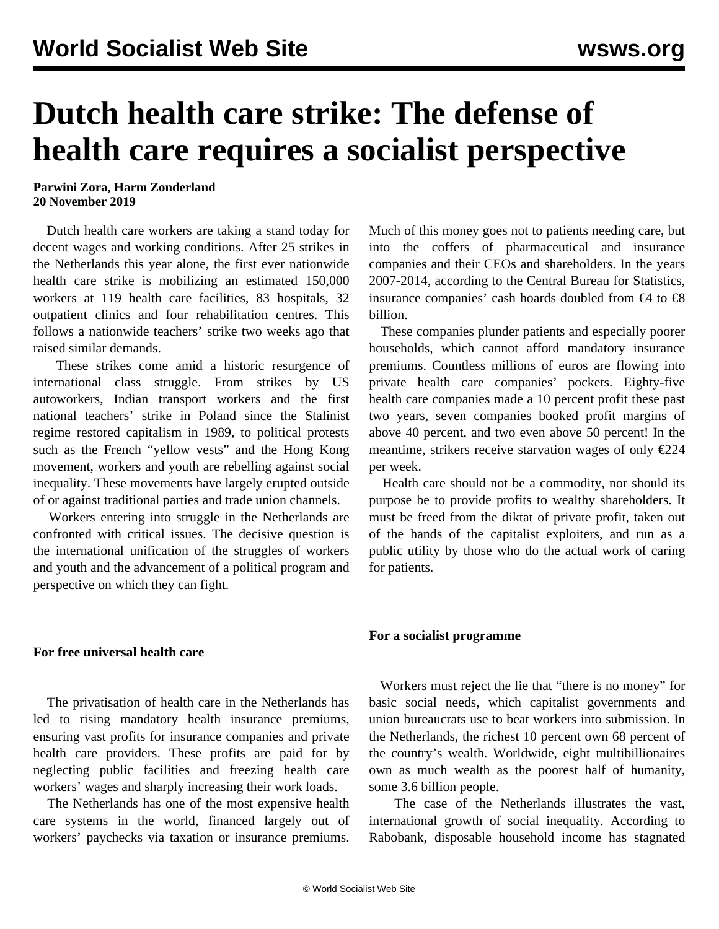## **Dutch health care strike: The defense of health care requires a socialist perspective**

**Parwini Zora, Harm Zonderland 20 November 2019**

 Dutch health care workers are taking a stand today for decent wages and working conditions. After 25 strikes in the Netherlands this year alone, the first ever nationwide health care strike is mobilizing an estimated 150,000 workers at 119 health care facilities, 83 hospitals, 32 outpatient clinics and four rehabilitation centres. This follows a nationwide teachers' strike two weeks ago that raised similar demands.

 These strikes come amid a historic resurgence of international class struggle. From strikes by US autoworkers, Indian transport workers and the first national teachers' strike in Poland since the Stalinist regime restored capitalism in 1989, to political protests such as the French "yellow vests" and the Hong Kong movement, workers and youth are rebelling against social inequality. These movements have largely erupted outside of or against traditional parties and trade union channels.

 Workers entering into struggle in the Netherlands are confronted with critical issues. The decisive question is the international unification of the struggles of workers and youth and the advancement of a political program and perspective on which they can fight.

**For free universal health care**

 The privatisation of health care in the Netherlands has led to rising mandatory health insurance premiums, ensuring vast profits for insurance companies and private health care providers. These profits are paid for by neglecting public facilities and freezing health care workers' wages and sharply increasing their work loads.

 The Netherlands has one of the most expensive health care systems in the world, financed largely out of workers' paychecks via taxation or insurance premiums.

Much of this money goes not to patients needing care, but into the coffers of pharmaceutical and insurance companies and their CEOs and shareholders. In the years 2007-2014, according to the Central Bureau for Statistics, insurance companies' cash hoards doubled from  $\epsilon$ 4 to  $\epsilon$ 8 billion.

 These companies plunder patients and especially poorer households, which cannot afford mandatory insurance premiums. Countless millions of euros are flowing into private health care companies' pockets. Eighty-five health care companies made a 10 percent profit these past two years, seven companies booked profit margins of above 40 percent, and two even above 50 percent! In the meantime, strikers receive starvation wages of only  $\epsilon$ 224 per week.

 Health care should not be a commodity, nor should its purpose be to provide profits to wealthy shareholders. It must be freed from the diktat of private profit, taken out of the hands of the capitalist exploiters, and run as a public utility by those who do the actual work of caring for patients.

## **For a socialist programme**

 Workers must reject the lie that "there is no money" for basic social needs, which capitalist governments and union bureaucrats use to beat workers into submission. In the Netherlands, the richest 10 percent own 68 percent of the country's wealth. Worldwide, eight multibillionaires own as much wealth as the poorest half of humanity, some 3.6 billion people.

 The case of the Netherlands illustrates the vast, international growth of social inequality. According to Rabobank, disposable household income has stagnated